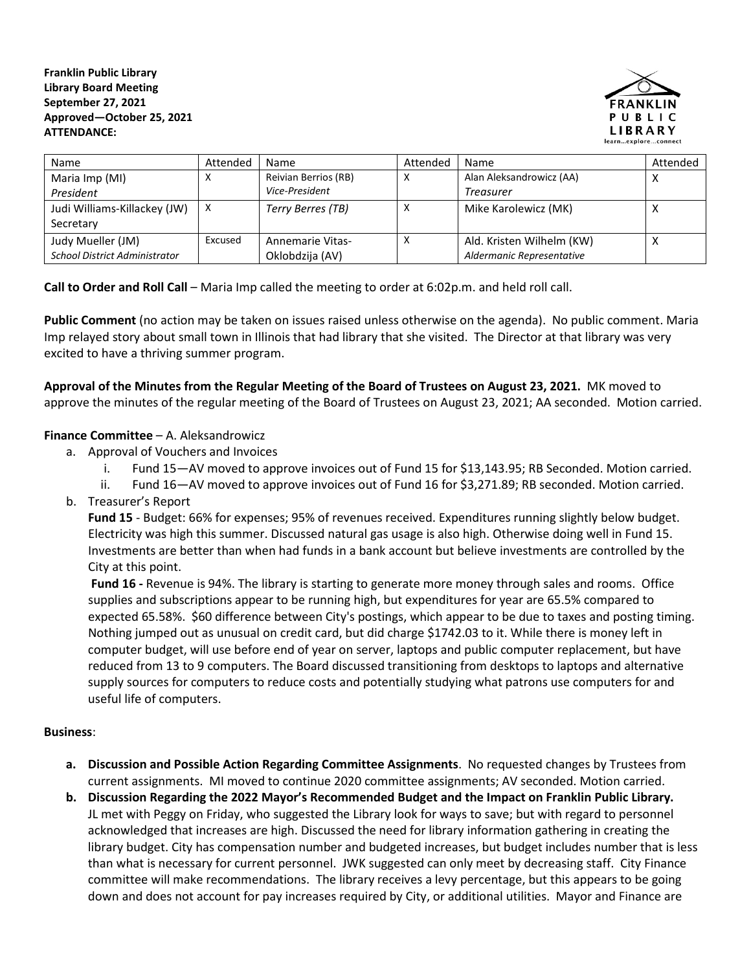**Franklin Public Library Library Board Meeting September 27, 2021 Approved—October 25, 2021 ATTENDANCE:**



| Name                                 | Attended | <b>Name</b>          | Attended | Name                      | Attended |
|--------------------------------------|----------|----------------------|----------|---------------------------|----------|
| Maria Imp (MI)                       | х        | Reivian Berrios (RB) |          | Alan Aleksandrowicz (AA)  |          |
| President                            |          | Vice-President       |          | <b>Treasurer</b>          |          |
| Judi Williams-Killackey (JW)         | X        | Terry Berres (TB)    |          | Mike Karolewicz (MK)      |          |
| Secretary                            |          |                      |          |                           |          |
| Judy Mueller (JM)                    | Excused  | Annemarie Vitas-     |          | Ald. Kristen Wilhelm (KW) |          |
| <b>School District Administrator</b> |          | Oklobdzija (AV)      |          | Aldermanic Representative |          |

**Call to Order and Roll Call** – Maria Imp called the meeting to order at 6:02p.m. and held roll call.

**Public Comment** (no action may be taken on issues raised unless otherwise on the agenda). No public comment. Maria Imp relayed story about small town in Illinois that had library that she visited. The Director at that library was very excited to have a thriving summer program.

**Approval of the Minutes from the Regular Meeting of the Board of Trustees on August 23, 2021.** MK moved to approve the minutes of the regular meeting of the Board of Trustees on August 23, 2021; AA seconded. Motion carried.

## **Finance Committee** – A. Aleksandrowicz

- a. Approval of Vouchers and Invoices
	- i. Fund 15—AV moved to approve invoices out of Fund 15 for \$13,143.95; RB Seconded. Motion carried.
	- ii. Fund 16—AV moved to approve invoices out of Fund 16 for \$3,271.89; RB seconded. Motion carried.
- b. Treasurer's Report

**Fund 15** - Budget: 66% for expenses; 95% of revenues received. Expenditures running slightly below budget. Electricity was high this summer. Discussed natural gas usage is also high. Otherwise doing well in Fund 15. Investments are better than when had funds in a bank account but believe investments are controlled by the City at this point.

**Fund 16 -** Revenue is 94%. The library is starting to generate more money through sales and rooms. Office supplies and subscriptions appear to be running high, but expenditures for year are 65.5% compared to expected 65.58%. \$60 difference between City's postings, which appear to be due to taxes and posting timing. Nothing jumped out as unusual on credit card, but did charge \$1742.03 to it. While there is money left in computer budget, will use before end of year on server, laptops and public computer replacement, but have reduced from 13 to 9 computers. The Board discussed transitioning from desktops to laptops and alternative supply sources for computers to reduce costs and potentially studying what patrons use computers for and useful life of computers.

## **Business**:

- **a. Discussion and Possible Action Regarding Committee Assignments**. No requested changes by Trustees from current assignments. MI moved to continue 2020 committee assignments; AV seconded. Motion carried.
- **b. Discussion Regarding the 2022 Mayor's Recommended Budget and the Impact on Franklin Public Library.** JL met with Peggy on Friday, who suggested the Library look for ways to save; but with regard to personnel acknowledged that increases are high. Discussed the need for library information gathering in creating the library budget. City has compensation number and budgeted increases, but budget includes number that is less than what is necessary for current personnel. JWK suggested can only meet by decreasing staff. City Finance committee will make recommendations. The library receives a levy percentage, but this appears to be going down and does not account for pay increases required by City, or additional utilities. Mayor and Finance are